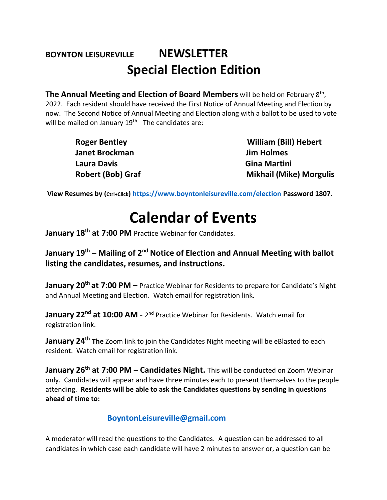## **BOYNTON LEISUREVILLE NEWSLETTER Special Election Edition**

The Annual Meeting and Election of Board Members will be held on February 8<sup>th</sup>, 2022. Each resident should have received the First Notice of Annual Meeting and Election by now. The Second Notice of Annual Meeting and Election along with a ballot to be used to vote will be mailed on January 19<sup>th.</sup> The candidates are:

> **Janet Brockman Jim Holmes Laura Davis Gina Martini**

**Roger Bentley Note 2018 William (Bill) Hebert Robert (Bob) Graf Mikhail (Mike) Morgulis** 

**View Resumes by (Ctrl+Click)<https://www.boyntonleisureville.com/election> Password 1807.** 

## **Calendar of Events**

**January 18th at 7:00 PM** Practice Webinar for Candidates.

**January 19<sup>th</sup> – Mailing of 2<sup>nd</sup> Notice of Election and Annual Meeting with ballot listing the candidates, resumes, and instructions.**

**January 20th at 7:00 PM –** Practice Webinar for Residents to prepare for Candidate's Night and Annual Meeting and Election. Watch email for registration link.

**January 22<sup>nd</sup> at 10:00 AM** - 2<sup>nd</sup> Practice Webinar for Residents. Watch email for registration link.

**January 24th The** Zoom link to join the Candidates Night meeting will be eBlasted to each resident. Watch email for registration link.

**January 26th at 7:00 PM – Candidates Night.** This will be conducted on Zoom Webinar only. Candidates will appear and have three minutes each to present themselves to the people attending. **Residents will be able to ask the Candidates questions by sending in questions ahead of time to:** 

## **[BoyntonLeisureville@gmail.com](mailto:BoyntonLeisureville@gmail.com)**

A moderator will read the questions to the Candidates. A question can be addressed to all candidates in which case each candidate will have 2 minutes to answer or, a question can be